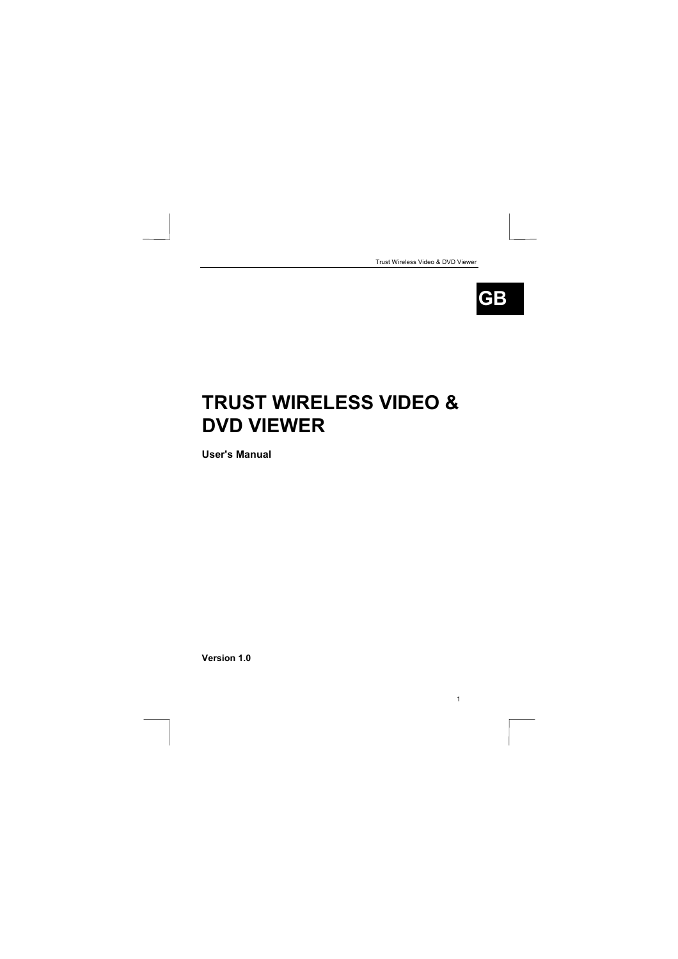| Trust Wireless Video & DVD Viewer |
|-----------------------------------|
|-----------------------------------|

1



# **TRUST WIRELESS VIDEO & DVD VIEWER**

**User's Manual**

**Version 1.0**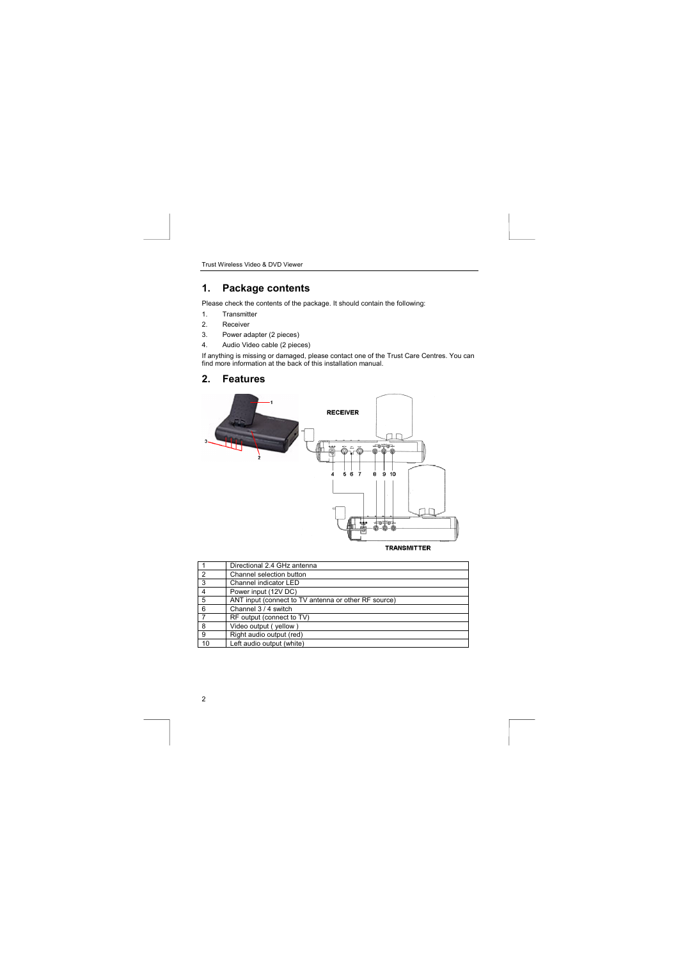# **1. Package contents**

Please check the contents of the package. It should contain the following:

- 1. Transmitter<br>2. Receiver
- Receiver
- 3. Power adapter (2 pieces)<br>4. Audio Video cable (2 piece
- 4. Audio Video cable (2 pieces)

If anything is missing or damaged, please contact one of the Trust Care Centres. You can find more information at the back of this installation manual.

**2. Features**



| <b>RANSMITTER</b> |
|-------------------|
|-------------------|

|                | Directional 2.4 GHz antenna                          |
|----------------|------------------------------------------------------|
| $\overline{2}$ | Channel selection button                             |
| 3              | Channel indicator LED                                |
| $\overline{4}$ | Power input (12V DC)                                 |
| 5              | ANT input (connect to TV antenna or other RF source) |
| 6              | Channel 3 / 4 switch                                 |
|                | RF output (connect to TV)                            |
| 8              | Video output (yellow)                                |
| 9              | Right audio output (red)                             |
| 10             | Left audio output (white)                            |

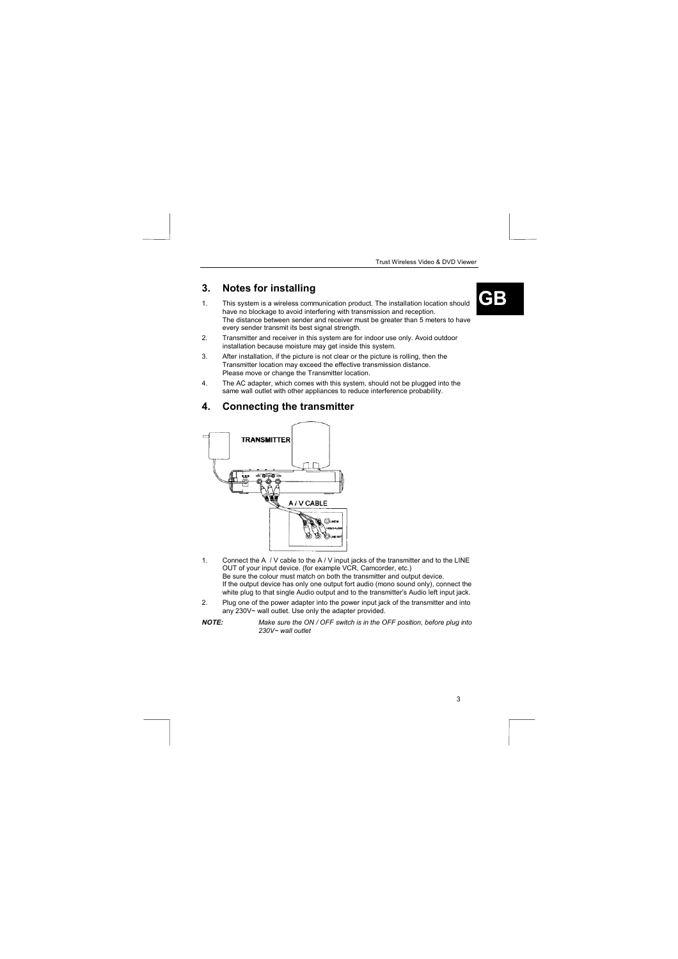3

- **3.** Notes for installing<br>1. This system is a wireless communication product. The installation location should **CB** have no blockage to avoid interfering with transmission and reception. The distance between sender and receiver must be greater than 5 meters to have every sender transmit its best signal strength.
- 2. Transmitter and receiver in this system are for indoor use only. Avoid outdoor installation because moisture may get inside this system.
- 3. After installation, if the picture is not clear or the picture is rolling, then the Transmitter location may exceed the effective transmission distance. Please move or change the Transmitter location.
- 4. The AC adapter, which comes with this system, should not be plugged into the same wall outlet with other appliances to reduce interference probability.
- **4. Connecting the transmitter**



1. Connect the A / V cable to the A / V input jacks of the transmitter and to the LINE<br>OUT of your input device. (for example VCR, Camcorder, etc.)<br>Be sure the colour must match on both the transmitter and output device. If the output device has only one output fort audio (mono sound only), connect the

white plug to that single Audio output and to the transmitter's Audio left input jack. 2. Plug one of the power adapter into the power input jack of the transmitter and into any 230V~ wall outlet. Use only the adapter provided.

*NOTE: Make sure the ON / OFF switch is in the OFF position, before plug into 230V~ wall outlet*

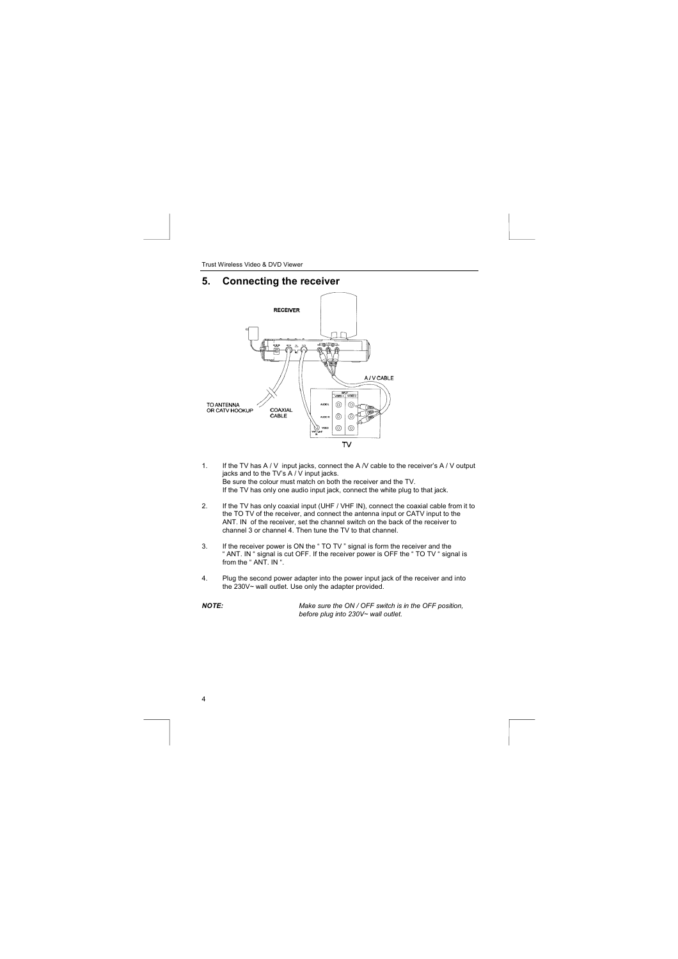## **5. Connecting the receiver**



- 1. If the TV has A / V input jacks, connect the A /V cable to the receiver's A / V output jacks and to the TV's A / V input jacks.<br>Be sure the colour must match on both the receiver and the TV.<br>Be sure the colour must mat
- 2. If the TV has only coaxial input (UHF / VHF IN), connect the coaxial cable from it to the TO TV of the receiver, and connect the antenna input or CATV input to the ANT. IN of the receiver, set the channel switch on the back of the receiver to channel 3 or channel 4. Then tune the TV to that channel.
- 3. If the receiver power is ON the " TO TV " signal is form the receiver and the<br>" ANT. IN " signal is cut OFF. If the receiver power is OFF the " TO TV " signal is<br>from the " ANT. IN ".
- 4. Plug the second power adapter into the power input jack of the receiver and into the 230V~ wall outlet. Use only the adapter provided.

4

*NOTE: Make sure the ON / OFF switch is in the OFF position, before plug into 230V~ wall outlet.*